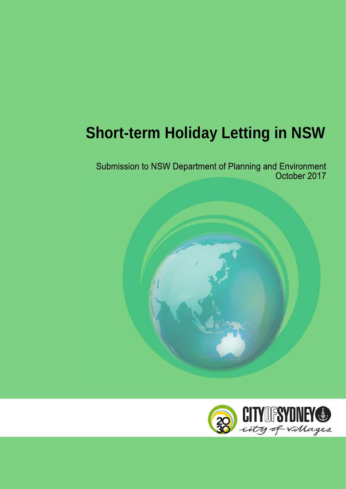# **Short-term Holiday Letting in NSW**

Submission to NSW Department of Planning and Environment<br>October 2017



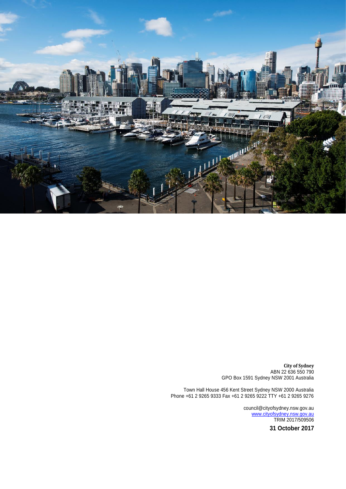

**City of Sydney** ABN 22 636 550 790 GPO Box 1591 Sydney NSW 2001 Australia

Town Hall House 456 Kent Street Sydney NSW 2000 Australia Phone +61 2 9265 9333 Fax +61 2 9265 9222 TTY +61 2 9265 9276

> council@cityofsydney.nsw.gov.au [www.cityofsydney.nsw.gov.au](http://www.cityofsydney.nsw.gov.au/) TRIM 2017/509506

> > **31 October 2017**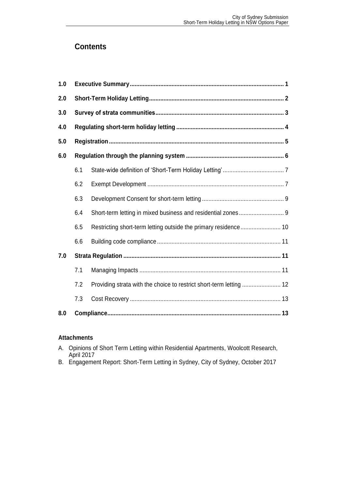## **Contents**

| 1.0 |     |                                                                     |
|-----|-----|---------------------------------------------------------------------|
| 2.0 |     |                                                                     |
| 3.0 |     |                                                                     |
| 4.0 |     |                                                                     |
| 5.0 |     |                                                                     |
| 6.0 |     |                                                                     |
|     | 6.1 |                                                                     |
|     | 6.2 |                                                                     |
|     | 6.3 |                                                                     |
|     | 6.4 |                                                                     |
|     | 6.5 |                                                                     |
|     | 6.6 |                                                                     |
| 7.0 |     |                                                                     |
|     | 7.1 |                                                                     |
|     | 7.2 | Providing strata with the choice to restrict short-term letting  12 |
|     | 7.3 |                                                                     |
| 8.0 |     |                                                                     |

## **Attachments**

- A. Opinions of Short Term Letting within Residential Apartments, Woolcott Research, April 2017
- B. Engagement Report: Short-Term Letting in Sydney, City of Sydney, October 2017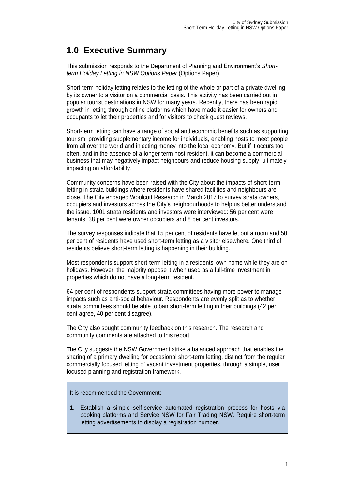# <span id="page-3-0"></span>**1.0 Executive Summary**

This submission responds to the Department of Planning and Environment's *Shortterm Holiday Letting in NSW Options Paper* (Options Paper).

Short-term holiday letting relates to the letting of the whole or part of a private dwelling by its owner to a visitor on a commercial basis. This activity has been carried out in popular tourist destinations in NSW for many years. Recently, there has been rapid growth in letting through online platforms which have made it easier for owners and occupants to let their properties and for visitors to check guest reviews.

Short-term letting can have a range of social and economic benefits such as supporting tourism, providing supplementary income for individuals, enabling hosts to meet people from all over the world and injecting money into the local economy. But if it occurs too often, and in the absence of a longer term host resident, it can become a commercial business that may negatively impact neighbours and reduce housing supply, ultimately impacting on affordability.

Community concerns have been raised with the City about the impacts of short-term letting in strata buildings where residents have shared facilities and neighbours are close. The City engaged Woolcott Research in March 2017 to survey strata owners, occupiers and investors across the City's neighbourhoods to help us better understand the issue. 1001 strata residents and investors were interviewed: 56 per cent were tenants, 38 per cent were owner occupiers and 8 per cent investors.

The survey responses indicate that 15 per cent of residents have let out a room and 50 per cent of residents have used short-term letting as a visitor elsewhere. One third of residents believe short-term letting is happening in their building.

Most respondents support short-term letting in a residents' own home while they are on holidays. However, the majority oppose it when used as a full-time investment in properties which do not have a long-term resident.

64 per cent of respondents support strata committees having more power to manage impacts such as anti-social behaviour. Respondents are evenly split as to whether strata committees should be able to ban short-term letting in their buildings (42 per cent agree, 40 per cent disagree).

The City also sought community feedback on this research. The research and community comments are attached to this report.

The City suggests the NSW Government strike a balanced approach that enables the sharing of a primary dwelling for occasional short-term letting, distinct from the regular commercially focused letting of vacant investment properties, through a simple, user focused planning and registration framework.

It is recommended the Government:

1. Establish a simple self-service automated registration process for hosts via booking platforms and Service NSW for Fair Trading NSW. Require short-term letting advertisements to display a registration number.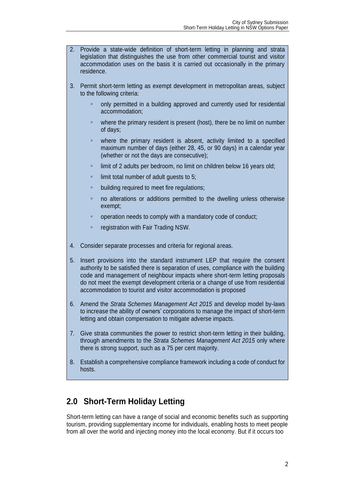- 2. Provide a state-wide definition of short-term letting in planning and strata legislation that distinguishes the use from other commercial tourist and visitor accommodation uses on the basis it is carried out occasionally in the primary residence.
- 3. Permit short-term letting as exempt development in metropolitan areas, subject to the following criteria:
	- only permitted in a building approved and currently used for residential accommodation;
	- where the primary resident is present (host), there be no limit on number of days;
	- where the primary resident is absent, activity limited to a specified maximum number of days (either 28, 45, or 90 days) in a calendar year (whether or not the days are consecutive);
	- limit of 2 adults per bedroom, no limit on children below 16 years old;
	- limit total number of adult quests to 5:
	- building required to meet fire regulations;
	- no alterations or additions permitted to the dwelling unless otherwise exempt;
	- operation needs to comply with a mandatory code of conduct;
	- registration with Fair Trading NSW.
- 4. Consider separate processes and criteria for regional areas.
- 5. Insert provisions into the standard instrument LEP that require the consent authority to be satisfied there is separation of uses, compliance with the building code and management of neighbour impacts where short-term letting proposals do not meet the exempt development criteria or a change of use from residential accommodation to tourist and visitor accommodation is proposed
- 6. Amend the *Strata Schemes Management Act 2015* and develop model by-laws to increase the ability of owners' corporations to manage the impact of short-term letting and obtain compensation to mitigate adverse impacts.
- 7. Give strata communities the power to restrict short-term letting in their building, through amendments to the *Strata Schemes Management Act 2015* only where there is strong support, such as a 75 per cent majority.
- 8. Establish a comprehensive compliance framework including a code of conduct for hosts.

## <span id="page-4-0"></span>**2.0 Short-Term Holiday Letting**

Short-term letting can have a range of social and economic benefits such as supporting tourism, providing supplementary income for individuals, enabling hosts to meet people from all over the world and injecting money into the local economy. But if it occurs too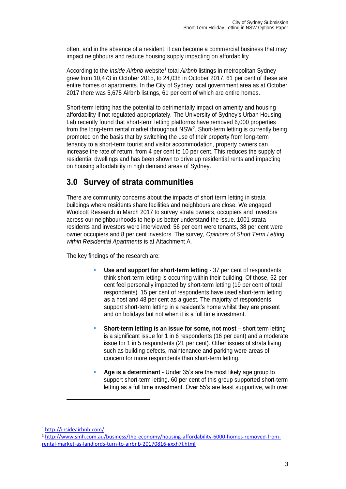often, and in the absence of a resident, it can become a commercial business that may impact neighbours and reduce housing supply impacting on affordability.

According to the *Inside Airbnb* website<sup>1</sup> total *Airbnb* listings in metropolitan Sydney grew from 10,473 in October 2015, to 24,038 in October 2017, 61 per cent of these are entire homes or apartments. In the City of Sydney local government area as at October 2017 there was 5,675 Airbnb listings, 61 per cent of which are entire homes.

Short-term letting has the potential to detrimentally impact on amenity and housing affordability if not regulated appropriately. The University of Sydney's Urban Housing Lab recently found that short-term letting platforms have removed 6,000 properties from the long-term rental market throughout NSW<sup>2</sup>. Short-term letting is currently being promoted on the basis that by switching the use of their property from long-term tenancy to a short-term tourist and visitor accommodation, property owners can increase the rate of return, from 4 per cent to 10 per cent. This reduces the supply of residential dwellings and has been shown to drive up residential rents and impacting on housing affordability in high demand areas of Sydney.

## <span id="page-5-0"></span>**3.0 Survey of strata communities**

There are community concerns about the impacts of short term letting in strata buildings where residents share facilities and neighbours are close. We engaged Woolcott Research in March 2017 to survey strata owners, occupiers and investors across our neighbourhoods to help us better understand the issue. 1001 strata residents and investors were interviewed: 56 per cent were tenants, 38 per cent were owner occupiers and 8 per cent investors. The survey, *Opinions of Short Term Letting within Residential Apartments* is at Attachment A.

The key findings of the research are:

- **Use and support for short-term letting** 37 per cent of respondents think short-term letting is occurring within their building. Of those, 52 per cent feel personally impacted by short-term letting (19 per cent of total respondents). 15 per cent of respondents have used short-term letting as a host and 48 per cent as a guest. The majority of respondents support short-term letting in a resident's home whilst they are present and on holidays but not when it is a full time investment.
- **Short-term letting is an issue for some, not most** short term letting is a significant issue for 1 in 6 respondents (16 per cent) and a moderate issue for 1 in 5 respondents (21 per cent). Other issues of strata living such as building defects, maintenance and parking were areas of concern for more respondents than short-term letting.
- **Age is a determinant**  Under 35's are the most likely age group to support short-term letting. 60 per cent of this group supported short-term letting as a full time investment. Over 55's are least supportive, with over

<sup>1</sup> <http://insideairbnb.com/>

<sup>&</sup>lt;sup>2</sup> [http://www.smh.com.au/business/the-economy/housing-affordability-6000-homes-removed-from](http://www.smh.com.au/business/the-economy/housing-affordability-6000-homes-removed-from-rental-market-as-landlords-turn-to-airbnb-20170816-gxxh7l.html)[rental-market-as-landlords-turn-to-airbnb-20170816-gxxh7l.html](http://www.smh.com.au/business/the-economy/housing-affordability-6000-homes-removed-from-rental-market-as-landlords-turn-to-airbnb-20170816-gxxh7l.html)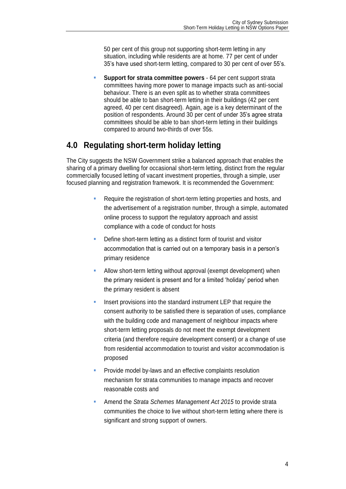50 per cent of this group not supporting short-term letting in any situation, including while residents are at home. 77 per cent of under 35's have used short-term letting, compared to 30 per cent of over 55's.

 **Support for strata committee powers** - 64 per cent support strata committees having more power to manage impacts such as anti-social behaviour. There is an even split as to whether strata committees should be able to ban short-term letting in their buildings (42 per cent agreed, 40 per cent disagreed). Again, age is a key determinant of the position of respondents. Around 30 per cent of under 35's agree strata committees should be able to ban short-term letting in their buildings compared to around two-thirds of over 55s.

# <span id="page-6-0"></span>**4.0 Regulating short-term holiday letting**

The City suggests the NSW Government strike a balanced approach that enables the sharing of a primary dwelling for occasional short-term letting, distinct from the regular commercially focused letting of vacant investment properties, through a simple, user focused planning and registration framework. It is recommended the Government:

- Require the registration of short-term letting properties and hosts, and the advertisement of a registration number, through a simple, automated online process to support the regulatory approach and assist compliance with a code of conduct for hosts
- Define short-term letting as a distinct form of tourist and visitor accommodation that is carried out on a temporary basis in a person's primary residence
- Allow short-term letting without approval (exempt development) when the primary resident is present and for a limited 'holiday' period when the primary resident is absent
- Insert provisions into the standard instrument LEP that require the consent authority to be satisfied there is separation of uses, compliance with the building code and management of neighbour impacts where short-term letting proposals do not meet the exempt development criteria (and therefore require development consent) or a change of use from residential accommodation to tourist and visitor accommodation is proposed
- Provide model by-laws and an effective complaints resolution mechanism for strata communities to manage impacts and recover reasonable costs and
- Amend the *Strata Schemes Management Act 2015* to provide strata communities the choice to live without short-term letting where there is significant and strong support of owners.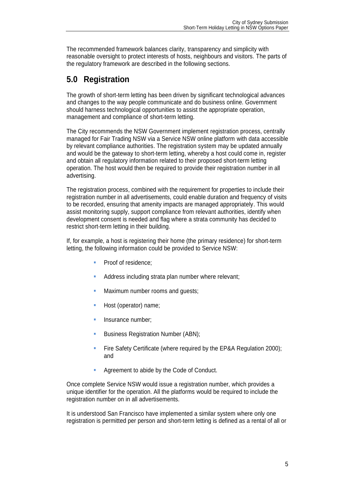The recommended framework balances clarity, transparency and simplicity with reasonable oversight to protect interests of hosts, neighbours and visitors. The parts of the regulatory framework are described in the following sections.

# <span id="page-7-0"></span>**5.0 Registration**

The growth of short-term letting has been driven by significant technological advances and changes to the way people communicate and do business online. Government should harness technological opportunities to assist the appropriate operation, management and compliance of short-term letting.

The City recommends the NSW Government implement registration process, centrally managed for Fair Trading NSW via a Service NSW online platform with data accessible by relevant compliance authorities. The registration system may be updated annually and would be the gateway to short-term letting, whereby a host could come in, register and obtain all regulatory information related to their proposed short-term letting operation. The host would then be required to provide their registration number in all advertising.

The registration process, combined with the requirement for properties to include their registration number in all advertisements, could enable duration and frequency of visits to be recorded, ensuring that amenity impacts are managed appropriately. This would assist monitoring supply, support compliance from relevant authorities, identify when development consent is needed and flag where a strata community has decided to restrict short-term letting in their building.

If, for example, a host is registering their home (the primary residence) for short-term letting, the following information could be provided to Service NSW:

- **Proof of residence:**
- Address including strata plan number where relevant;
- Maximum number rooms and guests;
- Host (operator) name;
- Insurance number;
- Business Registration Number (ABN);
- Fire Safety Certificate (where required by the EP&A Regulation 2000); and
- Agreement to abide by the Code of Conduct.

Once complete Service NSW would issue a registration number, which provides a unique identifier for the operation. All the platforms would be required to include the registration number on in all advertisements.

It is understood San Francisco have implemented a similar system where only one registration is permitted per person and short-term letting is defined as a rental of all or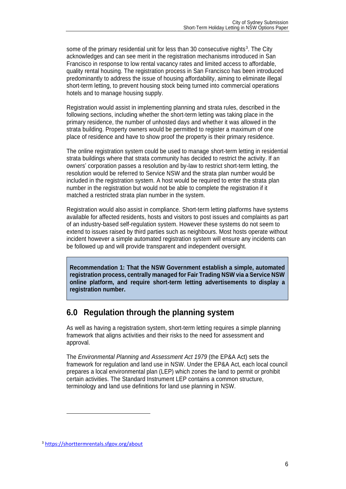some of the primary residential unit for less than 30 consecutive nights<sup>3</sup>. The City acknowledges and can see merit in the registration mechanisms introduced in San Francisco in response to low rental vacancy rates and limited access to affordable, quality rental housing. The registration process in San Francisco has been introduced predominantly to address the issue of housing affordability, aiming to eliminate illegal short-term letting, to prevent housing stock being turned into commercial operations hotels and to manage housing supply.

Registration would assist in implementing planning and strata rules, described in the following sections, including whether the short-term letting was taking place in the primary residence, the number of unhosted days and whether it was allowed in the strata building. Property owners would be permitted to register a maximum of one place of residence and have to show proof the property is their primary residence.

The online registration system could be used to manage short-term letting in residential strata buildings where that strata community has decided to restrict the activity. If an owners' corporation passes a resolution and by-law to restrict short-term letting, the resolution would be referred to Service NSW and the strata plan number would be included in the registration system. A host would be required to enter the strata plan number in the registration but would not be able to complete the registration if it matched a restricted strata plan number in the system.

Registration would also assist in compliance. Short-term letting platforms have systems available for affected residents, hosts and visitors to post issues and complaints as part of an industry-based self-regulation system. However these systems do not seem to extend to issues raised by third parties such as neighbours. Most hosts operate without incident however a simple automated registration system will ensure any incidents can be followed up and will provide transparent and independent oversight.

**Recommendation 1: That the NSW Government establish a simple, automated registration process, centrally managed for Fair Trading NSW via a Service NSW online platform, and require short-term letting advertisements to display a registration number.**

## <span id="page-8-0"></span>**6.0 Regulation through the planning system**

As well as having a registration system, short-term letting requires a simple planning framework that aligns activities and their risks to the need for assessment and approval.

The *Environmental Planning and Assessment Act 1979* (the EP&A Act) sets the framework for regulation and land use in NSW. Under the EP&A Act, each local council prepares a local environmental plan (LEP) which zones the land to permit or prohibit certain activities. The Standard Instrument LEP contains a common structure, terminology and land use definitions for land use planning in NSW.

<sup>3</sup> <https://shorttermrentals.sfgov.org/about>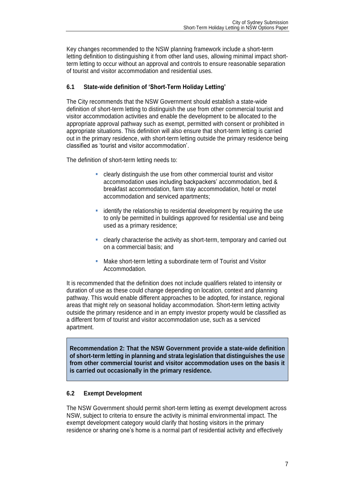Key changes recommended to the NSW planning framework include a short-term letting definition to distinguishing it from other land uses, allowing minimal impact shortterm letting to occur without an approval and controls to ensure reasonable separation of tourist and visitor accommodation and residential uses.

#### <span id="page-9-0"></span>**6.1 State-wide definition of 'Short-Term Holiday Letting'**

The City recommends that the NSW Government should establish a state-wide definition of short-term letting to distinguish the use from other commercial tourist and visitor accommodation activities and enable the development to be allocated to the appropriate approval pathway such as exempt, permitted with consent or prohibited in appropriate situations. This definition will also ensure that short-term letting is carried out in the primary residence, with short-term letting outside the primary residence being classified as 'tourist and visitor accommodation'.

The definition of short-term letting needs to:

- clearly distinguish the use from other commercial tourist and visitor accommodation uses including backpackers' accommodation, bed & breakfast accommodation, farm stay accommodation, hotel or motel accommodation and serviced apartments;
- identify the relationship to residential development by requiring the use to only be permitted in buildings approved for residential use and being used as a primary residence;
- clearly characterise the activity as short-term, temporary and carried out on a commercial basis; and
- Make short-term letting a subordinate term of Tourist and Visitor Accommodation.

It is recommended that the definition does not include qualifiers related to intensity or duration of use as these could change depending on location, context and planning pathway. This would enable different approaches to be adopted, for instance, regional areas that might rely on seasonal holiday accommodation. Short-term letting activity outside the primary residence and in an empty investor property would be classified as a different form of tourist and visitor accommodation use, such as a serviced apartment.

**Recommendation 2: That the NSW Government provide a state-wide definition of short-term letting in planning and strata legislation that distinguishes the use from other commercial tourist and visitor accommodation uses on the basis it is carried out occasionally in the primary residence.**

#### <span id="page-9-1"></span>**6.2 Exempt Development**

The NSW Government should permit short-term letting as exempt development across NSW, subject to criteria to ensure the activity is minimal environmental impact. The exempt development category would clarify that hosting visitors in the primary residence or sharing one's home is a normal part of residential activity and effectively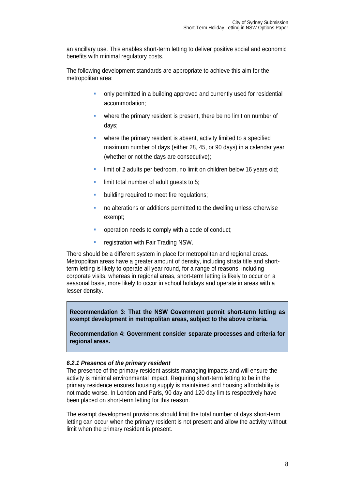an ancillary use. This enables short-term letting to deliver positive social and economic benefits with minimal regulatory costs.

The following development standards are appropriate to achieve this aim for the metropolitan area:

- only permitted in a building approved and currently used for residential accommodation;
- where the primary resident is present, there be no limit on number of days;
- where the primary resident is absent, activity limited to a specified maximum number of days (either 28, 45, or 90 days) in a calendar year (whether or not the days are consecutive);
- limit of 2 adults per bedroom, no limit on children below 16 years old;
- limit total number of adult quests to 5:
- building required to meet fire regulations;
- no alterations or additions permitted to the dwelling unless otherwise exempt;
- operation needs to comply with a code of conduct;
- **F** registration with Fair Trading NSW.

There should be a different system in place for metropolitan and regional areas. Metropolitan areas have a greater amount of density, including strata title and shortterm letting is likely to operate all year round, for a range of reasons, including corporate visits, whereas in regional areas, short-term letting is likely to occur on a seasonal basis, more likely to occur in school holidays and operate in areas with a lesser density.

**Recommendation 3: That the NSW Government permit short-term letting as exempt development in metropolitan areas, subject to the above criteria.**

**Recommendation 4: Government consider separate processes and criteria for regional areas.**

#### *6.2.1 Presence of the primary resident*

The presence of the primary resident assists managing impacts and will ensure the activity is minimal environmental impact. Requiring short-term letting to be in the primary residence ensures housing supply is maintained and housing affordability is not made worse. In London and Paris, 90 day and 120 day limits respectively have been placed on short-term letting for this reason.

The exempt development provisions should limit the total number of days short-term letting can occur when the primary resident is not present and allow the activity without limit when the primary resident is present.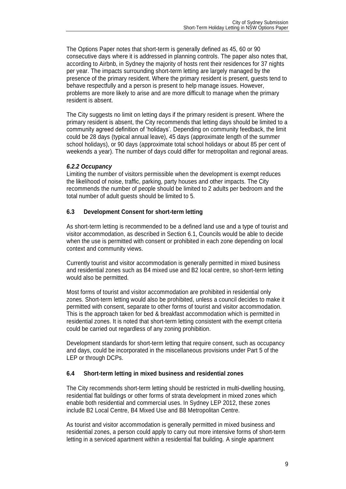The Options Paper notes that short-term is generally defined as 45, 60 or 90 consecutive days where it is addressed in planning controls. The paper also notes that, according to Airbnb, in Sydney the majority of hosts rent their residences for 37 nights per year. The impacts surrounding short-term letting are largely managed by the presence of the primary resident. Where the primary resident is present, guests tend to behave respectfully and a person is present to help manage issues. However, problems are more likely to arise and are more difficult to manage when the primary resident is absent.

The City suggests no limit on letting days if the primary resident is present. Where the primary resident is absent, the City recommends that letting days should be limited to a community agreed definition of 'holidays'. Depending on community feedback, the limit could be 28 days (typical annual leave), 45 days (approximate length of the summer school holidays), or 90 days (approximate total school holidays or about 85 per cent of weekends a year). The number of days could differ for metropolitan and regional areas.

## *6.2.2 Occupancy*

Limiting the number of visitors permissible when the development is exempt reduces the likelihood of noise, traffic, parking, party houses and other impacts. The City recommends the number of people should be limited to 2 adults per bedroom and the total number of adult guests should be limited to 5.

## <span id="page-11-0"></span>**6.3 Development Consent for short-term letting**

As short-term letting is recommended to be a defined land use and a type of tourist and visitor accommodation, as described in Section 6.1, Councils would be able to decide when the use is permitted with consent or prohibited in each zone depending on local context and community views.

Currently tourist and visitor accommodation is generally permitted in mixed business and residential zones such as B4 mixed use and B2 local centre, so short-term letting would also be permitted.

Most forms of tourist and visitor accommodation are prohibited in residential only zones. Short-term letting would also be prohibited, unless a council decides to make it permitted with consent, separate to other forms of tourist and visitor accommodation. This is the approach taken for bed & breakfast accommodation which is permitted in residential zones. It is noted that short-term letting consistent with the exempt criteria could be carried out regardless of any zoning prohibition.

Development standards for short-term letting that require consent, such as occupancy and days, could be incorporated in the miscellaneous provisions under Part 5 of the LEP or through DCPs.

#### <span id="page-11-1"></span>**6.4 Short-term letting in mixed business and residential zones**

The City recommends short-term letting should be restricted in multi-dwelling housing, residential flat buildings or other forms of strata development in mixed zones which enable both residential and commercial uses. In Sydney LEP 2012, these zones include B2 Local Centre, B4 Mixed Use and B8 Metropolitan Centre.

As tourist and visitor accommodation is generally permitted in mixed business and residential zones, a person could apply to carry out more intensive forms of short-term letting in a serviced apartment within a residential flat building. A single apartment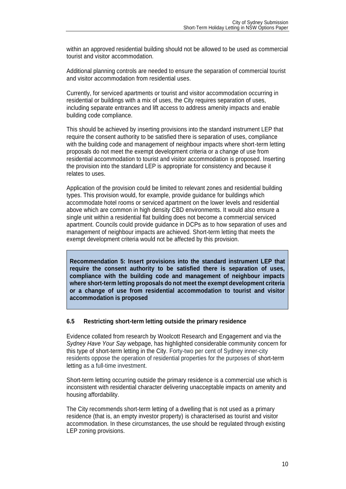within an approved residential building should not be allowed to be used as commercial tourist and visitor accommodation.

Additional planning controls are needed to ensure the separation of commercial tourist and visitor accommodation from residential uses.

Currently, for serviced apartments or tourist and visitor accommodation occurring in residential or buildings with a mix of uses, the City requires separation of uses, including separate entrances and lift access to address amenity impacts and enable building code compliance.

This should be achieved by inserting provisions into the standard instrument LEP that require the consent authority to be satisfied there is separation of uses, compliance with the building code and management of neighbour impacts where short-term letting proposals do not meet the exempt development criteria or a change of use from residential accommodation to tourist and visitor accommodation is proposed. Inserting the provision into the standard LEP is appropriate for consistency and because it relates to uses.

Application of the provision could be limited to relevant zones and residential building types. This provision would, for example, provide guidance for buildings which accommodate hotel rooms or serviced apartment on the lower levels and residential above which are common in high density CBD environments. It would also ensure a single unit within a residential flat building does not become a commercial serviced apartment. Councils could provide guidance in DCPs as to how separation of uses and management of neighbour impacts are achieved. Short-term letting that meets the exempt development criteria would not be affected by this provision.

**Recommendation 5: Insert provisions into the standard instrument LEP that require the consent authority to be satisfied there is separation of uses, compliance with the building code and management of neighbour impacts where short-term letting proposals do not meet the exempt development criteria or a change of use from residential accommodation to tourist and visitor accommodation is proposed**

#### <span id="page-12-0"></span>**6.5 Restricting short-term letting outside the primary residence**

Evidence collated from research by Woolcott Research and Engagement and via the *Sydney Have Your Say* webpage, has highlighted considerable community concern for this type of short-term letting in the City. Forty-two per cent of Sydney inner-city residents oppose the operation of residential properties for the purposes of short-term letting as a full-time investment.

Short-term letting occurring outside the primary residence is a commercial use which is inconsistent with residential character delivering unacceptable impacts on amenity and housing affordability.

The City recommends short-term letting of a dwelling that is not used as a primary residence (that is, an empty investor property) is characterised as tourist and visitor accommodation. In these circumstances, the use should be regulated through existing LEP zoning provisions.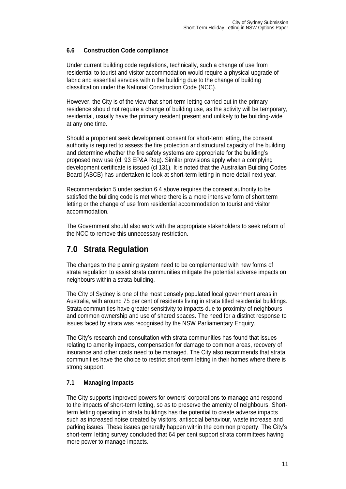## <span id="page-13-0"></span>**6.6 Construction Code compliance**

Under current building code regulations, technically, such a change of use from residential to tourist and visitor accommodation would require a physical upgrade of fabric and essential services within the building due to the change of building classification under the National Construction Code (NCC).

However, the City is of the view that short-term letting carried out in the primary residence should not require a change of building use, as the activity will be temporary, residential, usually have the primary resident present and unlikely to be building-wide at any one time.

Should a proponent seek development consent for short-term letting, the consent authority is required to assess the fire protection and structural capacity of the building and determine whether the fire safety systems are appropriate for the building's proposed new use (cl. 93 EP&A Reg). Similar provisions apply when a complying development certificate is issued (cl 131). It is noted that the Australian Building Codes Board (ABCB) has undertaken to look at short-term letting in more detail next year.

Recommendation 5 under section 6.4 above requires the consent authority to be satisfied the building code is met where there is a more intensive form of short term letting or the change of use from residential accommodation to tourist and visitor accommodation.

The Government should also work with the appropriate stakeholders to seek reform of the NCC to remove this unnecessary restriction.

## <span id="page-13-1"></span>**7.0 Strata Regulation**

The changes to the planning system need to be complemented with new forms of strata regulation to assist strata communities mitigate the potential adverse impacts on neighbours within a strata building.

The City of Sydney is one of the most densely populated local government areas in Australia, with around 75 per cent of residents living in strata titled residential buildings. Strata communities have greater sensitivity to impacts due to proximity of neighbours and common ownership and use of shared spaces. The need for a distinct response to issues faced by strata was recognised by the NSW Parliamentary Enquiry.

The City's research and consultation with strata communities has found that issues relating to amenity impacts, compensation for damage to common areas, recovery of insurance and other costs need to be managed. The City also recommends that strata communities have the choice to restrict short-term letting in their homes where there is strong support.

## <span id="page-13-2"></span>**7.1 Managing Impacts**

The City supports improved powers for owners' corporations to manage and respond to the impacts of short-term letting, so as to preserve the amenity of neighbours. Shortterm letting operating in strata buildings has the potential to create adverse impacts such as increased noise created by visitors, antisocial behaviour, waste increase and parking issues. These issues generally happen within the common property. The City's short-term letting survey concluded that 64 per cent support strata committees having more power to manage impacts.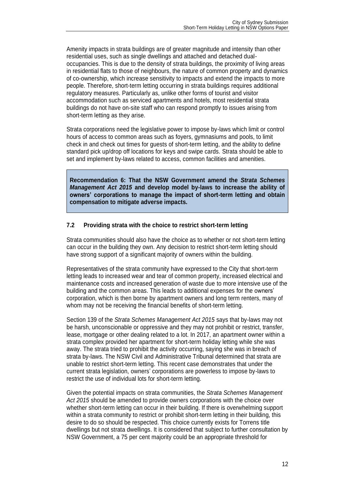Amenity impacts in strata buildings are of greater magnitude and intensity than other residential uses, such as single dwellings and attached and detached dualoccupancies. This is due to the density of strata buildings, the proximity of living areas in residential flats to those of neighbours, the nature of common property and dynamics of co-ownership, which increase sensitivity to impacts and extend the impacts to more people. Therefore, short-term letting occurring in strata buildings requires additional regulatory measures. Particularly as, unlike other forms of tourist and visitor accommodation such as serviced apartments and hotels, most residential strata buildings do not have on-site staff who can respond promptly to issues arising from short-term letting as they arise.

Strata corporations need the legislative power to impose by-laws which limit or control hours of access to common areas such as foyers, gymnasiums and pools, to limit check in and check out times for guests of short-term letting, and the ability to define standard pick up/drop off locations for keys and swipe cards. Strata should be able to set and implement by-laws related to access, common facilities and amenities.

**Recommendation 6: That the NSW Government amend the** *Strata Schemes Management Act 2015* **and develop model by-laws to increase the ability of owners' corporations to manage the impact of short-term letting and obtain compensation to mitigate adverse impacts.**

#### <span id="page-14-0"></span>**7.2 Providing strata with the choice to restrict short-term letting**

Strata communities should also have the choice as to whether or not short-term letting can occur in the building they own. Any decision to restrict short-term letting should have strong support of a significant majority of owners within the building.

Representatives of the strata community have expressed to the City that short-term letting leads to increased wear and tear of common property, increased electrical and maintenance costs and increased generation of waste due to more intensive use of the building and the common areas. This leads to additional expenses for the owners' corporation, which is then borne by apartment owners and long term renters, many of whom may not be receiving the financial benefits of short-term letting.

Section 139 of the *Strata Schemes Management Act 2015* says that by-laws may not be harsh, unconscionable or oppressive and they may not prohibit or restrict, transfer, lease, mortgage or other dealing related to a lot. In 2017, an apartment owner within a strata complex provided her apartment for short-term holiday letting while she was away. The strata tried to prohibit the activity occurring, saying she was in breach of strata by-laws. The NSW Civil and Administrative Tribunal determined that strata are unable to restrict short-term letting. This recent case demonstrates that under the current strata legislation, owners' corporations are powerless to impose by-laws to restrict the use of individual lots for short-term letting.

Given the potential impacts on strata communities, the *Strata Schemes Management Act 2015* should be amended to provide owners corporations with the choice over whether short-term letting can occur in their building. If there is overwhelming support within a strata community to restrict or prohibit short-term letting in their building, this desire to do so should be respected. This choice currently exists for Torrens title dwellings but not strata dwellings. It is considered that subject to further consultation by NSW Government, a 75 per cent majority could be an appropriate threshold for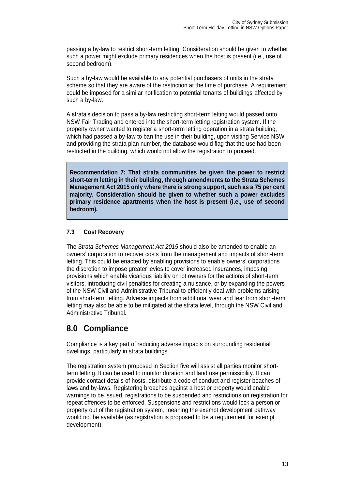passing a by-law to restrict short-term letting. Consideration should be given to whether such a power might exclude primary residences when the host is present (i.e., use of second bedroom).

Such a by-law would be available to any potential purchasers of units in the strata scheme so that they are aware of the restriction at the time of purchase. A requirement could be imposed for a similar notification to potential tenants of buildings affected by such a by-law.

A strata's decision to pass a by-law restricting short-term letting would passed onto NSW Fair Trading and entered into the short-term letting registration system. If the property owner wanted to register a short-term letting operation in a strata building, which had passed a by-law to ban the use in their building, upon visiting Service NSW and providing the strata plan number, the database would flag that the use had been restricted in the building, which would not allow the registration to proceed.

**Recommendation 7: That strata communities be given the power to restrict short-term letting in their building, through amendments to the Strata Schemes Management Act 2015 only where there is strong support, such as a 75 per cent majority. Consideration should be given to whether such a power excludes primary residence apartments when the host is present (i.e., use of second bedroom).**

## <span id="page-15-0"></span>**7.3 Cost Recovery**

The *Strata Schemes Management Act 2015* should also be amended to enable an owners' corporation to recover costs from the management and impacts of short-term letting. This could be enacted by enabling provisions to enable owners' corporations the discretion to impose greater levies to cover increased insurances, imposing provisions which enable vicarious liability on lot owners for the actions of short-term visitors, introducing civil penalties for creating a nuisance, or by expanding the powers of the NSW Civil and Administrative Tribunal to efficiently deal with problems arising from short-term letting. Adverse impacts from additional wear and tear from short-term letting may also be able to be mitigated at the strata level, through the NSW Civil and Administrative Tribunal.

## <span id="page-15-1"></span>**8.0 Compliance**

Compliance is a key part of reducing adverse impacts on surrounding residential dwellings, particularly in strata buildings.

The registration system proposed in Section five will assist all parties monitor shortterm letting. It can be used to monitor duration and land use permissibility. It can provide contact details of hosts, distribute a code of conduct and register beaches of laws and by-laws. Registering breaches against a host or property would enable warnings to be issued, registrations to be suspended and restrictions on registration for repeat offences to be enforced. Suspensions and restrictions would lock a person or property out of the registration system, meaning the exempt development pathway would not be available (as registration is proposed to be a requirement for exempt development).